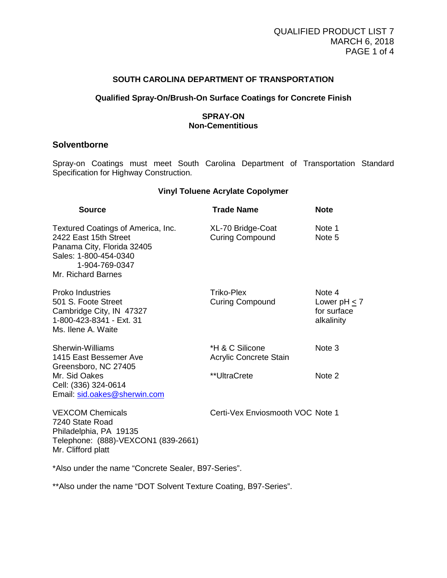#### **SOUTH CAROLINA DEPARTMENT OF TRANSPORTATION**

## **Qualified Spray-On/Brush-On Surface Coatings for Concrete Finish**

## **SPRAY-ON Non-Cementitious**

# **Solventborne**

Spray-on Coatings must meet South Carolina Department of Transportation Standard Specification for Highway Construction.

#### **Vinyl Toluene Acrylate Copolymer**

| <b>Source</b>                                                                                                                                              | <b>Trade Name</b>                                                                                                                                                      | <b>Note</b>                                              |
|------------------------------------------------------------------------------------------------------------------------------------------------------------|------------------------------------------------------------------------------------------------------------------------------------------------------------------------|----------------------------------------------------------|
| Textured Coatings of America, Inc.<br>2422 East 15th Street<br>Panama City, Florida 32405<br>Sales: 1-800-454-0340<br>1-904-769-0347<br>Mr. Richard Barnes | XL-70 Bridge-Coat<br><b>Curing Compound</b>                                                                                                                            | Note 1<br>Note 5                                         |
| <b>Proko Industries</b><br>501 S. Foote Street<br>Cambridge City, IN 47327<br>1-800-423-8341 - Ext. 31<br>Ms. Ilene A. Waite                               | Triko-Plex<br><b>Curing Compound</b>                                                                                                                                   | Note 4<br>Lower pH $\leq$ 7<br>for surface<br>alkalinity |
| Sherwin-Williams<br>1415 East Bessemer Ave<br>Greensboro, NC 27405                                                                                         | *H & C Silicone<br>Acrylic Concrete Stain                                                                                                                              | Note 3                                                   |
| Mr. Sid Oakes<br>Cell: (336) 324-0614<br>Email: sid.oakes@sherwin.com                                                                                      | **UltraCrete                                                                                                                                                           | Note 2                                                   |
| $\frac{1}{2}$                                                                                                                                              | $\bigcap_{x\in\mathbb{R}}\{f(x): \square_{x\in\mathbb{R}}\}$ and $\bigcap_{x\in\mathbb{R}}\{f(x)\cap\mathbb{R}\}$ and $\bigcap_{x\in\mathbb{R}}\{f(x)\cap\mathbb{R}\}$ |                                                          |

VEXCOM Chemicals **Certi-Vex Enviosmooth VOC Note 1** 7240 State Road Philadelphia, PA 19135 Telephone: (888)-VEXCON1 (839-2661) Mr. Clifford platt

\*Also under the name "Concrete Sealer, B97-Series".

\*\*Also under the name "DOT Solvent Texture Coating, B97-Series".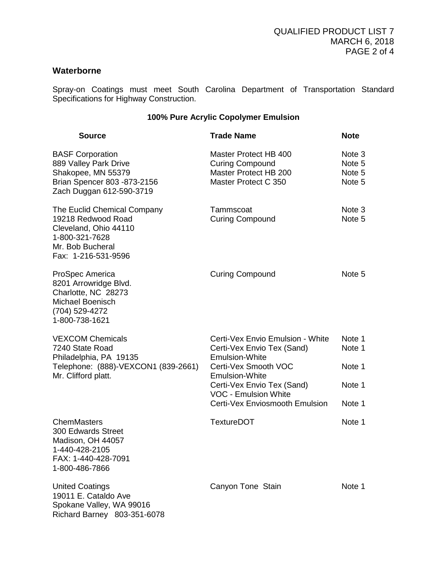# **Waterborne**

Spray-on Coatings must meet South Carolina Department of Transportation Standard Specifications for Highway Construction.

# **100% Pure Acrylic Copolymer Emulsion**

| <b>Source</b>                                                                                                                           | <b>Trade Name</b>                                                                                | <b>Note</b>                          |
|-----------------------------------------------------------------------------------------------------------------------------------------|--------------------------------------------------------------------------------------------------|--------------------------------------|
| <b>BASF Corporation</b><br>889 Valley Park Drive<br>Shakopee, MN 55379<br>Brian Spencer 803 - 873-2156<br>Zach Duggan 612-590-3719      | Master Protect HB 400<br><b>Curing Compound</b><br>Master Protect HB 200<br>Master Protect C 350 | Note 3<br>Note 5<br>Note 5<br>Note 5 |
| The Euclid Chemical Company<br>19218 Redwood Road<br>Cleveland, Ohio 44110<br>1-800-321-7628<br>Mr. Bob Bucheral<br>Fax: 1-216-531-9596 | Tammscoat<br><b>Curing Compound</b>                                                              | Note 3<br>Note 5                     |
| ProSpec America<br>8201 Arrowridge Blvd.<br>Charlotte, NC 28273<br>Michael Boenisch<br>(704) 529-4272<br>1-800-738-1621                 | <b>Curing Compound</b>                                                                           | Note 5                               |
| <b>VEXCOM Chemicals</b><br>7240 State Road<br>Philadelphia, PA 19135                                                                    | Certi-Vex Envio Emulsion - White<br>Certi-Vex Envio Tex (Sand)<br><b>Emulsion-White</b>          | Note 1<br>Note 1                     |
| Telephone: (888)-VEXCON1 (839-2661)<br>Mr. Clifford platt.                                                                              | Certi-Vex Smooth VOC<br><b>Emulsion-White</b>                                                    | Note 1                               |
|                                                                                                                                         | Certi-Vex Envio Tex (Sand)<br><b>VOC - Emulsion White</b>                                        | Note 1                               |
|                                                                                                                                         | Certi-Vex Enviosmooth Emulsion                                                                   | Note 1                               |
| <b>ChemMasters</b><br><b>300 Edwards Street</b><br>Madison, OH 44057<br>1-440-428-2105<br>FAX: 1-440-428-7091<br>1-800-486-7866         | <b>TextureDOT</b>                                                                                | Note 1                               |
| <b>United Coatings</b><br>19011 E. Cataldo Ave<br>Spokane Valley, WA 99016<br>Richard Barney 803-351-6078                               | Canyon Tone Stain                                                                                | Note 1                               |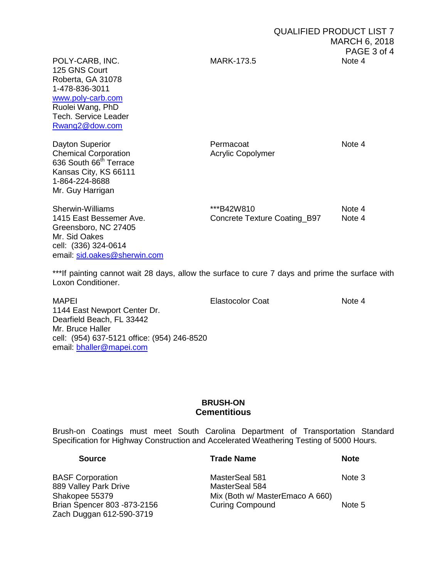125 GNS Court Roberta, GA 31078 1-478-836-3011 [www.poly-carb.com](http://www.poly-carb.com/) Ruolei Wang, PhD Tech. Service Leader [Rwang2@dow.com](mailto:Rwang2@dow.com)

Dayton Superior **Note 4**<br>
Chemical Corporation **Note 4**<br>
Acrylic Copolymer Chemical Corporation 636 South 66<sup>th</sup> Terrace Kansas City, KS 66111 1-864-224-8688 Mr. Guy Harrigan

Greensboro, NC 27405 Mr. Sid Oakes cell: (336) 324-0614 email: [sid.oakes@sherwin.com](mailto:sid.oakes@sherwin.com)

Sherwin-Williams **\*\*\*B42W810 Note 4**<br>1415 East Bessemer Ave. **Note 4** Concrete Texture Coating B97 Mote 4 Concrete Texture Coating B97

\*\*\*If painting cannot wait 28 days, allow the surface to cure 7 days and prime the surface with Loxon Conditioner.

MAPEI **Note 4 Elastocolor Coat** Note 4

1144 East Newport Center Dr. Dearfield Beach, FL 33442 Mr. Bruce Haller cell: (954) 637-5121 office: (954) 246-8520 email: [bhaller@mapei.com](mailto:bhaller@mapei.com)

## **BRUSH-ON Cementitious**

Brush-on Coatings must meet South Carolina Department of Transportation Standard Specification for Highway Construction and Accelerated Weathering Testing of 5000 Hours.

| <b>Trade Name</b>               | <b>Note</b> |
|---------------------------------|-------------|
| MasterSeal 581                  | Note 3      |
| MasterSeal 584                  |             |
| Mix (Both w/ MasterEmaco A 660) |             |
| <b>Curing Compound</b>          | Note 5      |
|                                 |             |
|                                 |             |